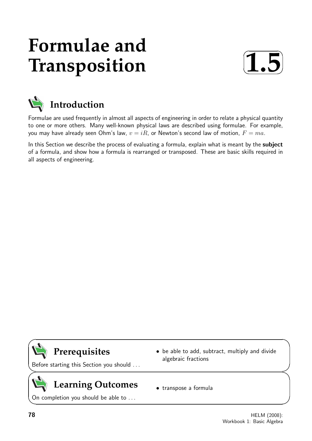# **Formulae and Transposition**





Formulae are used frequently in almost all aspects of engineering in order to relate a physical quantity to one or more others. Many well-known physical laws are described using formulae. For example, you may have already seen Ohm's law,  $v = iR$ , or Newton's second law of motion,  $F = ma$ .

In this Section we describe the process of evaluating a formula, explain what is meant by the subject of a formula, and show how a formula is rearranged or transposed. These are basic skills required in all aspects of engineering.

# **Prerequisites**

Before starting this Section you should . . .

# **Learning Outcomes**

On completion you should be able to ...

- be able to add, subtract, multiply and divide algebraic fractions
- transpose a formula

 $\overline{\phantom{0}}$ 

 $\overline{\phantom{0}}$ 

 $\geq$ 

 $\geq$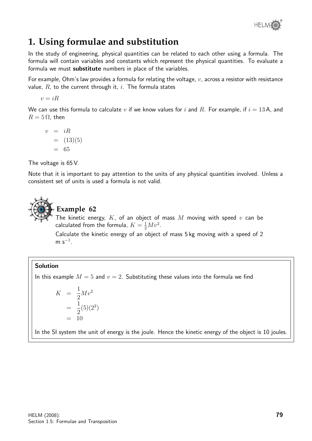

# **1. Using formulae and substitution**

In the study of engineering, physical quantities can be related to each other using a formula. The formula will contain variables and constants which represent the physical quantities. To evaluate a formula we must substitute numbers in place of the variables.

For example, Ohm's law provides a formula for relating the voltage,  $v$ , across a resistor with resistance value,  $R$ , to the current through it, i. The formula states

 $v = iR$ 

We can use this formula to calculate v if we know values for i and R. For example, if  $i = 13$ A, and  $R = 5 \Omega$ , then

$$
v = iR
$$
  
= (13)(5)  
= 65

The voltage is 65 V.

Note that it is important to pay attention to the units of any physical quantities involved. Unless a consistent set of units is used a formula is not valid.



### **Example 62**

The kinetic energy,  $K$ , of an object of mass  $M$  moving with speed  $v$  can be calculated from the formula,  $K = \frac{1}{2}Mv^2$ .

Calculate the kinetic energy of an object of mass 5 kg moving with a speed of 2  $m s^{-1}$ .

#### Solution

In this example  $M = 5$  and  $v = 2$ . Substituting these values into the formula we find

$$
K = \frac{1}{2}Mv^2
$$
  
=  $\frac{1}{2}(5)(2^2)$   
= 10

In the SI system the unit of energy is the joule. Hence the kinetic energy of the object is 10 joules.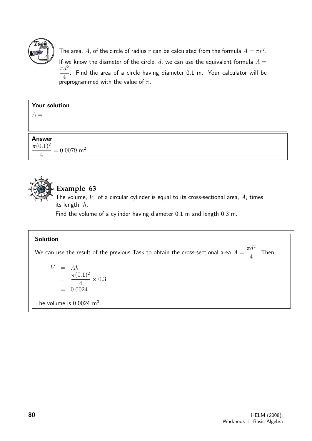

The area,  $A$ , of the circle of radius  $r$  can be calculated from the formula  $A=\pi r^2$ . If we know the diameter of the circle,  $d$ , we can use the equivalent formula  $A =$  $\pi d^2$ 4 . Find the area of a circle having diameter 0.1 m. Your calculator will be preprogrammed with the value of  $\pi$ .

| <b>Your solution</b>                            |  |
|-------------------------------------------------|--|
| $A =$                                           |  |
|                                                 |  |
| <b>Answer</b>                                   |  |
| $\frac{\pi (0.1)^2}{2} = 0.0079$ m <sup>2</sup> |  |
|                                                 |  |



### **Example 63**

The volume,  $V$ , of a circular cylinder is equal to its cross-sectional area,  $A$ , times its length, h.

Find the volume of a cylinder having diameter 0.1 m and length 0.3 m.

#### Solution

We can use the result of the previous Task to obtain the cross-sectional area  $A=\emptyset$  $\pi d^2$ 4 . Then

$$
V = Ah
$$
  
= 
$$
\frac{\pi (0.1)^2}{4} \times 0.3
$$
  
= 0.0024  
The volume is 0.0024 m<sup>3</sup>.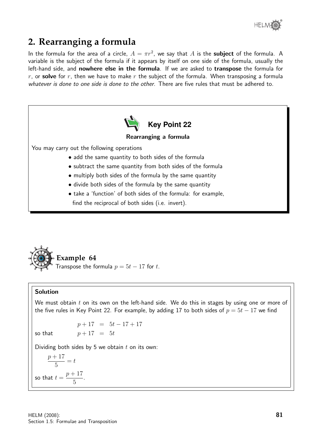

## **2. Rearranging a formula**

In the formula for the area of a circle,  $A = \pi r^2$ , we say that A is the **subject** of the formula. A variable is the subject of the formula if it appears by itself on one side of the formula, usually the left-hand side, and nowhere else in the formula. If we are asked to transpose the formula for r, or solve for r, then we have to make r the subject of the formula. When transposing a formula whatever is done to one side is done to the other. There are five rules that must be adhered to.





#### Solution

We must obtain  $t$  on its own on the left-hand side. We do this in stages by using one or more of the five rules in Key Point 22. For example, by adding 17 to both sides of  $p = 5t - 17$  we find

 $p+17 = 5t-17+17$ so that  $p + 17 = 5t$ 

Dividing both sides by 5 we obtain  $t$  on its own:

$$
\frac{p+17}{5} = t
$$
  
so that  $t = \frac{p+17}{5}$ .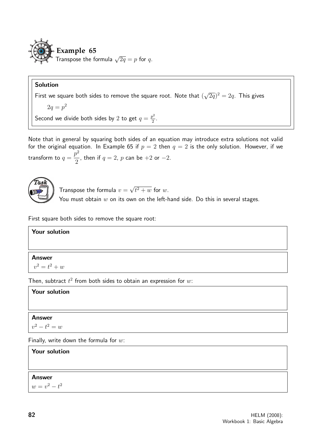

#### Solution

First we square both sides to remove the square root. Note that ( √  $(\overline{2q})^2=2q.$  This gives

$$
2q = p^2
$$

Second we divide both sides by 2 to get  $q = \frac{p^2}{2}$  $\frac{p^2}{2}$ .

Note that in general by squaring both sides of an equation may introduce extra solutions not valid for the original equation. In Example 65 if  $p = 2$  then  $q = 2$  is the only solution. However, if we transform to  $q=\,$  $p^2$ 2 , then if  $q=2$ ,  $p$  can be  $+2$  or  $-2$ .



Transpose the formula  $v =$ √  $t^2+w$  for  $w$ .

You must obtain  $w$  on its own on the left-hand side. Do this in several stages.

First square both sides to remove the square root:

#### Your solution

#### Answer

 $v^2 = t^2 + w$ 

Then, subtract  $t^2$  from both sides to obtain an expression for  $w$ :

#### Your solution

#### Answer

$$
v^2-t^2=w
$$

Finally, write down the formula for  $w$ :

#### Your solution

#### Answer

 $w = v^2 - t^2$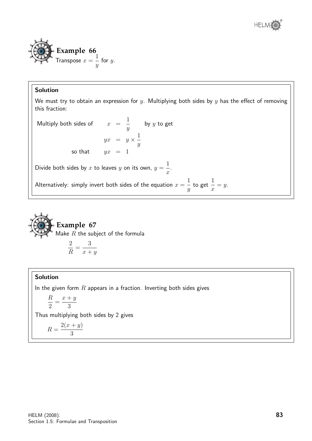



#### Solution

We must try to obtain an expression for  $y$ . Multiplying both sides by  $y$  has the effect of removing this fraction:

 $=y$ .

Multiply both sides of  $x =$ 1  $\hat{y}$ by  $y$  to get  $yx = y \times \frac{1}{x}$  $\hat{y}$ so that  $yx = 1$ Divide both sides by x to leaves y on its own,  $y =$ 1  $\boldsymbol{x}$ . Alternatively: simply invert both sides of the equation  $x=$ 1  $\hat{y}$ to get 1  $\overline{x}$ 



$$
\frac{z}{R} = \frac{3}{x+y}
$$

#### Solution

In the given form  $R$  appears in a fraction. Inverting both sides gives

$$
\frac{R}{2} = \frac{x+y}{3}
$$

Thus multiplying both sides by 2 gives

$$
R = \frac{2(x+y)}{3}
$$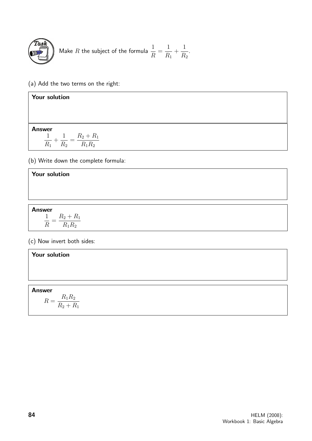

Make R the subject of the formula 
$$
\frac{1}{R} = \frac{1}{R_1} + \frac{1}{R_2}.
$$

(a) Add the two terms on the right:

| <b>Your solution</b>                           |  |
|------------------------------------------------|--|
|                                                |  |
|                                                |  |
| <b>Answer</b>                                  |  |
| $R_2 + R_1$<br>ᆠ<br>$R_1R_2$<br>$R_1$<br>$R_2$ |  |

(b) Write down the complete formula:

#### Your solution

Answer 1 R  $=\frac{R_2 + R_1}{R_2 R}$  $R_1R_2$ 

(c) Now invert both sides:

# Your solution Answer  $R = \frac{R_1R_2}{R_1 + R_2}$  $R_2 + R_1$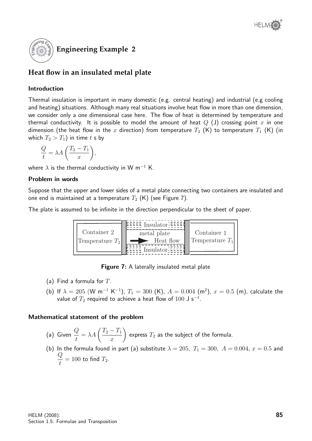

### **Heat flow in an insulated metal plate**

#### Introduction

Thermal insulation is important in many domestic (e.g. central heating) and industrial (e.g cooling and heating) situations. Although many real situations involve heat flow in more than one dimension, we consider only a one dimensional case here. The flow of heat is determined by temperature and thermal conductivity. It is possible to model the amount of heat  $Q(\text{J})$  crossing point x in one dimension (the heat flow in the x direction) from temperature  $T_2$  (K) to temperature  $T_1$  (K) (in which  $T_2 > T_1$ ) in time t s by

$$
\frac{Q}{t} = \lambda A \left( \frac{T_2 - T_1}{x} \right),
$$

where  $\lambda$  is the thermal conductivity in W m<sup>-1</sup> K.

#### Problem in words

Suppose that the upper and lower sides of a metal plate connecting two containers are insulated and one end is maintained at a temperature  $T_2$  (K) (see Figure 7).

The plate is assumed to be infinite in the direction perpendicular to the sheet of paper.



**Figure 7:** A laterally insulated metal plate

- (a) Find a formula for  $T$ .
- (b) If  $\lambda = 205$  (W m<sup>-1</sup> K<sup>-1</sup>),  $T_1 = 300$  (K),  $A = 0.004$  (m<sup>2</sup>),  $x = 0.5$  (m), calculate the value of  $T_2$  required to achieve a heat flow of  $100\,$  J s $^{-1}.$

#### Mathematical statement of the problem

(a) Given  $\frac{Q}{I}$ t  $=\lambda A\left(\frac{T_2-T_1}{T_2-T_1}\right)$  $\overline{x}$  $\setminus$ express  $T_2$  as the subject of the formula.

(b) In the formula found in part (a) substitute  $\lambda = 205$ ,  $T_1 = 300$ ,  $A = 0.004$ ,  $x = 0.5$  and  $\overline{Q}$  $\frac{u}{t} = 100$  to find  $T_2$ .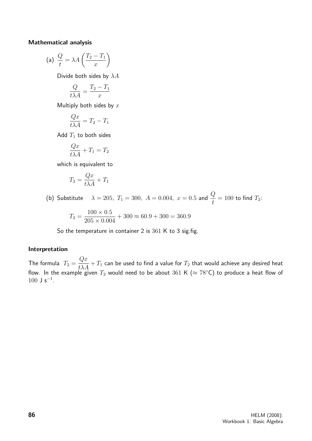#### Mathematical analysis

(a) 
$$
\frac{Q}{t} = \lambda A \left( \frac{T_2 - T_1}{x} \right)
$$

Divide both sides by  $\lambda A$ 

$$
\frac{Q}{t\lambda A} = \frac{T_2 - T_1}{x}
$$

Multiply both sides by  $x$ 

$$
\frac{Qx}{t\lambda A} = T_2 - T_1
$$

Add  $T_1$  to both sides

$$
\frac{Qx}{t\lambda A} + T_1 = T_2
$$

which is equivalent to

$$
T_2 = \frac{Qx}{t\lambda A} + T_1
$$

(b) Substitute  $\lambda = 205, T_1 = 300, A = 0.004, x = 0.5$  and  $\frac{Q}{t} = 100$  to find  $T_2$ :

$$
T_2 = \frac{100 \times 0.5}{205 \times 0.004} + 300 \approx 60.9 + 300 = 360.9
$$

So the temperature in container 2 is 361 K to 3 sig.fig.

#### Interpretation

The formula  $T_2 =$  $Qx$  $\frac{dx}{t\lambda A} + T_1$  can be used to find a value for  $T_2$  that would achieve any desired heat flow. In the example given  $T_2$  would need to be about 361 K ( $\approx 78^{\circ}$ C) to produce a heat flow of  $100 \text{ J s}^{-1}$ .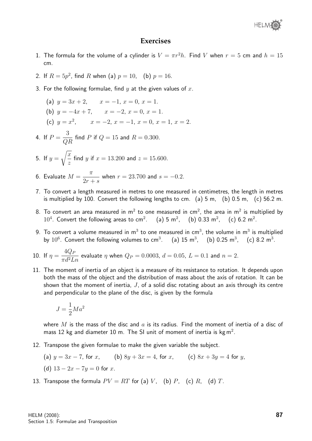#### **Exercises**

- 1. The formula for the volume of a cylinder is  $V = \pi r^2 h$ . Find V when  $r = 5$  cm and  $h = 15$ cm.
- 2. If  $R = 5p^2$ , find R when (a)  $p = 10$ , (b)  $p = 16$ .
- 3. For the following formulae, find  $y$  at the given values of  $x$ .
	- (a)  $y = 3x + 2$ ,  $x = -1$ ,  $x = 0$ ,  $x = 1$ . (b)  $y = -4x + 7$ ,  $x = -2$ ,  $x = 0$ ,  $x = 1$ . (c)  $y = x^2$ ,  $x = -2$ ,  $x = -1$ ,  $x = 0$ ,  $x = 1$ ,  $x = 2$ .
- 4. If  $P=$ 3  $\frac{\sigma}{QR}$  find P if  $Q = 15$  and  $R = 0.300$ .
- 5. If  $y =$  $\sqrt{x}$ z find *y* if  $x = 13.200$  and  $z = 15.600$ .
- 6. Evaluate  $M =$  $\pi$  $2r + s$ when  $r = 23.700$  and  $s = -0.2$ .
- 7. To convert a length measured in metres to one measured in centimetres, the length in metres is multiplied by 100. Convert the following lengths to cm. (a) 5 m, (b) 0.5 m, (c) 56.2 m.
- 8. To convert an area measured in m<sup>2</sup> to one measured in cm<sup>2</sup>, the area in m<sup>2</sup> is multiplied by 10<sup>4</sup>. Convert the following areas to cm<sup>2</sup>. (a) 5 m<sup>2</sup>, (b) 0.33 m<sup>2</sup>, (c) 6.2 m<sup>2</sup>.
- 9. To convert a volume measured in  $\mathsf{m}^{3}$  to one measured in c $\mathsf{m}^{3}$ , the volume in  $\mathsf{m}^{3}$  is multiplied by  $10^6$ . Convert the following volumes to cm<sup>3</sup>. (a) 15 m<sup>3</sup>, (b) 0.25 m<sup>3</sup>, (c) 8.2 m<sup>3</sup>.

10. If 
$$
\eta = \frac{4Q_P}{\pi d^2 Ln}
$$
 evaluate  $\eta$  when  $Q_P = 0.0003$ ,  $d = 0.05$ ,  $L = 0.1$  and  $n = 2$ .

11. The moment of inertia of an object is a measure of its resistance to rotation. It depends upon both the mass of the object and the distribution of mass about the axis of rotation. It can be shown that the moment of inertia,  $J$ , of a solid disc rotating about an axis through its centre and perpendicular to the plane of the disc, is given by the formula

$$
J = \frac{1}{2}Ma^2
$$

where M is the mass of the disc and a is its radius. Find the moment of inertia of a disc of mass 12 kg and diameter 10 m. The SI unit of moment of inertia is kg m<sup>2</sup>.

- 12. Transpose the given formulae to make the given variable the subject.
	- (a)  $y = 3x 7$ , for x, (b)  $8y + 3x = 4$ , for x, (c)  $8x + 3y = 4$  for y, (d)  $13 - 2x - 7y = 0$  for x.
- 13. Transpose the formula  $PV = RT$  for (a) V, (b) P, (c) R, (d) T.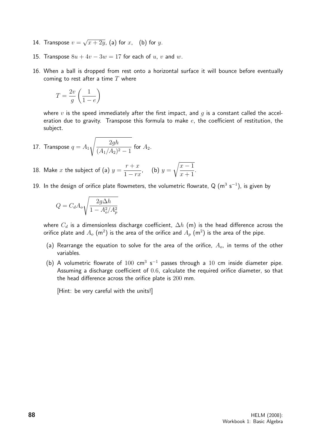- 14. Transpose  $v =$ √  $\overline{x+2y}$ , (a) for  $x$ ,  $\;\;$  (b) for  $y.$
- 15. Transpose  $8u + 4v 3w = 17$  for each of u, v and w.
- 16. When a ball is dropped from rest onto a horizontal surface it will bounce before eventually coming to rest after a time  $T$  where

$$
T = \frac{2v}{g}\left(\frac{1}{1-e}\right)
$$

where v is the speed immediately after the first impact, and  $q$  is a constant called the acceleration due to gravity. Transpose this formula to make  $e$ , the coefficient of restitution, the subject.

- 17. Transpose  $q=A_1$  $\sqrt{2gh}$  $\frac{2gh}{(A_1/A_2)^2-1}$  for  $A_2$ .
- 18. Make  $x$  the subject of (a)  $y =$  $r + x$  $1 - rx$ , (b)  $y =$  $\sqrt{x-1}$  $x + 1$ .
- 19. In the design of orifice plate flowmeters, the volumetric flowrate, Q  $(m^3 s^{-1})$ , is given by

$$
Q=C_d A_o \sqrt{\frac{2g\Delta h}{1-A_o^2/A_p^2}}
$$

where  $C_d$  is a dimensionless discharge coefficient,  $\Delta h$  (m) is the head difference across the orifice plate and  $A_o$  (m $^2)$  is the area of the orifice and  $A_p$  (m $^2)$  is the area of the pipe.

- (a) Rearrange the equation to solve for the area of the orifice,  $A_o$ , in terms of the other variables.
- (b) A volumetric flowrate of  $100 \text{ cm}^3 \text{ s}^{-1}$  passes through a  $10 \text{ cm}$  inside diameter pipe. Assuming a discharge coefficient of 0.6, calculate the required orifice diameter, so that the head difference across the orifice plate is 200 mm.

[Hint: be very careful with the units!]